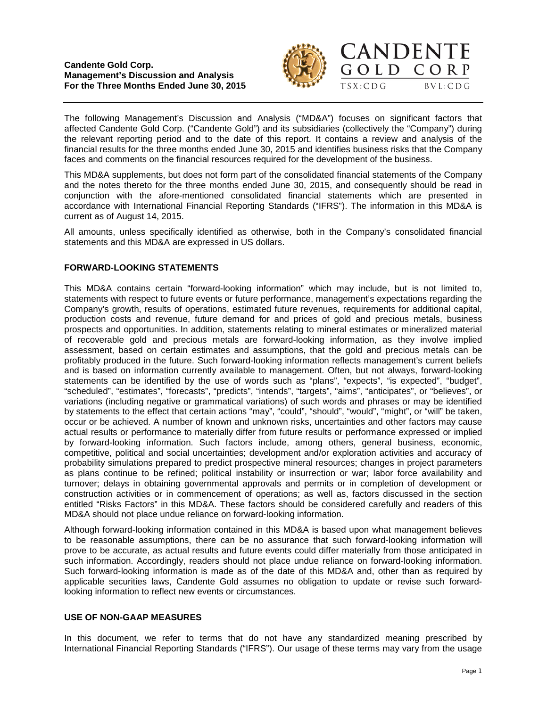



The following Management's Discussion and Analysis ("MD&A") focuses on significant factors that affected Candente Gold Corp. ("Candente Gold") and its subsidiaries (collectively the "Company") during the relevant reporting period and to the date of this report. It contains a review and analysis of the financial results for the three months ended June 30, 2015 and identifies business risks that the Company faces and comments on the financial resources required for the development of the business.

This MD&A supplements, but does not form part of the consolidated financial statements of the Company and the notes thereto for the three months ended June 30, 2015, and consequently should be read in conjunction with the afore-mentioned consolidated financial statements which are presented in accordance with International Financial Reporting Standards ("IFRS"). The information in this MD&A is current as of August 14, 2015.

All amounts, unless specifically identified as otherwise, both in the Company's consolidated financial statements and this MD&A are expressed in US dollars.

# **FORWARD-LOOKING STATEMENTS**

This MD&A contains certain "forward-looking information" which may include, but is not limited to, statements with respect to future events or future performance, management's expectations regarding the Company's growth, results of operations, estimated future revenues, requirements for additional capital, production costs and revenue, future demand for and prices of gold and precious metals, business prospects and opportunities. In addition, statements relating to mineral estimates or mineralized material of recoverable gold and precious metals are forward-looking information, as they involve implied assessment, based on certain estimates and assumptions, that the gold and precious metals can be profitably produced in the future. Such forward-looking information reflects management's current beliefs and is based on information currently available to management. Often, but not always, forward-looking statements can be identified by the use of words such as "plans", "expects", "is expected", "budget", "scheduled", "estimates", "forecasts", "predicts", "intends", "targets", "aims", "anticipates", or "believes", or variations (including negative or grammatical variations) of such words and phrases or may be identified by statements to the effect that certain actions "may", "could", "should", "would", "might", or "will" be taken, occur or be achieved. A number of known and unknown risks, uncertainties and other factors may cause actual results or performance to materially differ from future results or performance expressed or implied by forward-looking information. Such factors include, among others, general business, economic, competitive, political and social uncertainties; development and/or exploration activities and accuracy of probability simulations prepared to predict prospective mineral resources; changes in project parameters as plans continue to be refined; political instability or insurrection or war; labor force availability and turnover; delays in obtaining governmental approvals and permits or in completion of development or construction activities or in commencement of operations; as well as, factors discussed in the section entitled "Risks Factors" in this MD&A. These factors should be considered carefully and readers of this MD&A should not place undue reliance on forward-looking information.

Although forward-looking information contained in this MD&A is based upon what management believes to be reasonable assumptions, there can be no assurance that such forward-looking information will prove to be accurate, as actual results and future events could differ materially from those anticipated in such information. Accordingly, readers should not place undue reliance on forward-looking information. Such forward-looking information is made as of the date of this MD&A and, other than as required by applicable securities laws, Candente Gold assumes no obligation to update or revise such forwardlooking information to reflect new events or circumstances.

# **USE OF NON-GAAP MEASURES**

In this document, we refer to terms that do not have any standardized meaning prescribed by International Financial Reporting Standards ("IFRS"). Our usage of these terms may vary from the usage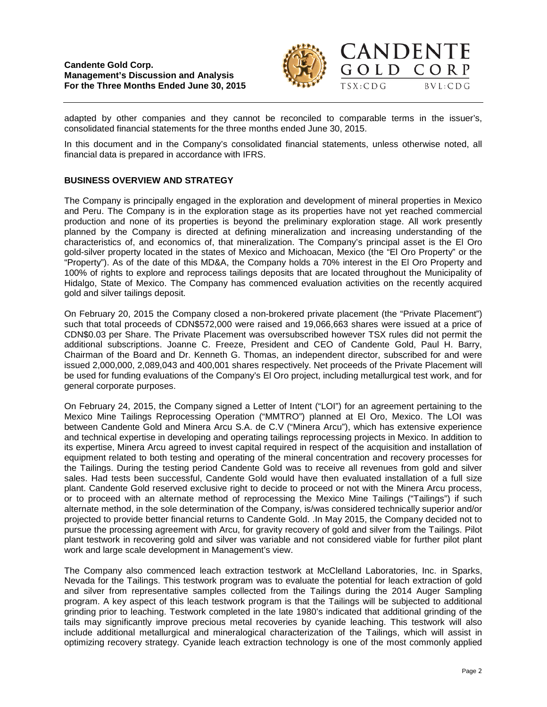

CORP

 $BVL:CDG$ 

adapted by other companies and they cannot be reconciled to comparable terms in the issuer's, consolidated financial statements for the three months ended June 30, 2015.

In this document and in the Company's consolidated financial statements, unless otherwise noted, all financial data is prepared in accordance with IFRS.

### **BUSINESS OVERVIEW AND STRATEGY**

The Company is principally engaged in the exploration and development of mineral properties in Mexico and Peru. The Company is in the exploration stage as its properties have not yet reached commercial production and none of its properties is beyond the preliminary exploration stage. All work presently planned by the Company is directed at defining mineralization and increasing understanding of the characteristics of, and economics of, that mineralization. The Company's principal asset is the El Oro gold-silver property located in the states of Mexico and Michoacan, Mexico (the "El Oro Property" or the "Property"). As of the date of this MD&A, the Company holds a 70% interest in the El Oro Property and 100% of rights to explore and reprocess tailings deposits that are located throughout the Municipality of Hidalgo, State of Mexico. The Company has commenced evaluation activities on the recently acquired gold and silver tailings deposit.

On February 20, 2015 the Company closed a non-brokered private placement (the "Private Placement") such that total proceeds of CDN\$572,000 were raised and 19,066,663 shares were issued at a price of CDN\$0.03 per Share. The Private Placement was oversubscribed however TSX rules did not permit the additional subscriptions. Joanne C. Freeze, President and CEO of Candente Gold, Paul H. Barry, Chairman of the Board and Dr. Kenneth G. Thomas, an independent director, subscribed for and were issued 2,000,000, 2,089,043 and 400,001 shares respectively. Net proceeds of the Private Placement will be used for funding evaluations of the Company's El Oro project, including metallurgical test work, and for general corporate purposes.

On February 24, 2015, the Company signed a Letter of Intent ("LOI") for an agreement pertaining to the Mexico Mine Tailings Reprocessing Operation ("MMTRO") planned at El Oro, Mexico. The LOI was between Candente Gold and Minera Arcu S.A. de C.V ("Minera Arcu"), which has extensive experience and technical expertise in developing and operating tailings reprocessing projects in Mexico. In addition to its expertise, Minera Arcu agreed to invest capital required in respect of the acquisition and installation of equipment related to both testing and operating of the mineral concentration and recovery processes for the Tailings. During the testing period Candente Gold was to receive all revenues from gold and silver sales. Had tests been successful, Candente Gold would have then evaluated installation of a full size plant. Candente Gold reserved exclusive right to decide to proceed or not with the Minera Arcu process, or to proceed with an alternate method of reprocessing the Mexico Mine Tailings ("Tailings") if such alternate method, in the sole determination of the Company, is/was considered technically superior and/or projected to provide better financial returns to Candente Gold. .In May 2015, the Company decided not to pursue the processing agreement with Arcu, for gravity recovery of gold and silver from the Tailings. Pilot plant testwork in recovering gold and silver was variable and not considered viable for further pilot plant work and large scale development in Management's view.

The Company also commenced leach extraction testwork at McClelland Laboratories, Inc. in Sparks, Nevada for the Tailings. This testwork program was to evaluate the potential for leach extraction of gold and silver from representative samples collected from the Tailings during the 2014 Auger Sampling program. A key aspect of this leach testwork program is that the Tailings will be subjected to additional grinding prior to leaching. Testwork completed in the late 1980's indicated that additional grinding of the tails may significantly improve precious metal recoveries by cyanide leaching. This testwork will also include additional metallurgical and mineralogical characterization of the Tailings, which will assist in optimizing recovery strategy. Cyanide leach extraction technology is one of the most commonly applied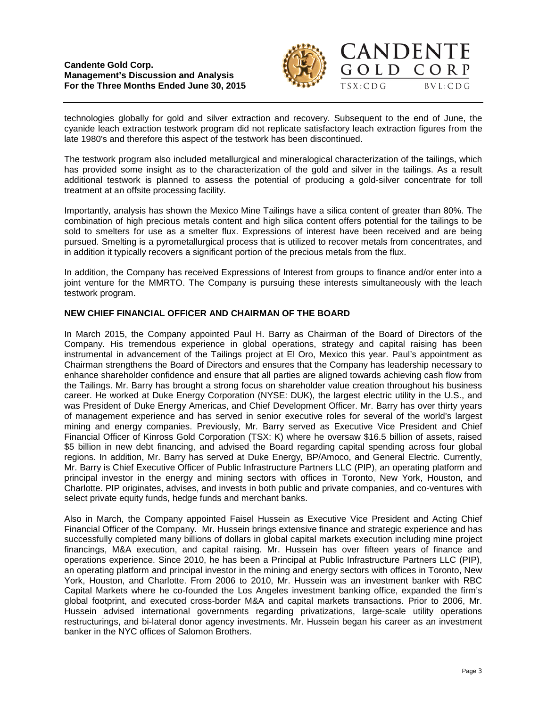

GOLD CORP

 $TSX:CDG$ 

 $BVL:CDG$ 



The testwork program also included metallurgical and mineralogical characterization of the tailings, which has provided some insight as to the characterization of the gold and silver in the tailings. As a result additional testwork is planned to assess the potential of producing a gold-silver concentrate for toll treatment at an offsite processing facility.

Importantly, analysis has shown the Mexico Mine Tailings have a silica content of greater than 80%. The combination of high precious metals content and high silica content offers potential for the tailings to be sold to smelters for use as a smelter flux. Expressions of interest have been received and are being pursued. Smelting is a pyrometallurgical process that is utilized to recover metals from concentrates, and in addition it typically recovers a significant portion of the precious metals from the flux.

In addition, the Company has received Expressions of Interest from groups to finance and/or enter into a joint venture for the MMRTO. The Company is pursuing these interests simultaneously with the leach testwork program.

# **NEW CHIEF FINANCIAL OFFICER AND CHAIRMAN OF THE BOARD**

In March 2015, the Company appointed Paul H. Barry as Chairman of the Board of Directors of the Company. His tremendous experience in global operations, strategy and capital raising has been instrumental in advancement of the Tailings project at El Oro, Mexico this year. Paul's appointment as Chairman strengthens the Board of Directors and ensures that the Company has leadership necessary to enhance shareholder confidence and ensure that all parties are aligned towards achieving cash flow from the Tailings. Mr. Barry has brought a strong focus on shareholder value creation throughout his business career. He worked at Duke Energy Corporation (NYSE: DUK), the largest electric utility in the U.S., and was President of Duke Energy Americas, and Chief Development Officer. Mr. Barry has over thirty years of management experience and has served in senior executive roles for several of the world's largest mining and energy companies. Previously, Mr. Barry served as Executive Vice President and Chief Financial Officer of Kinross Gold Corporation (TSX: K) where he oversaw \$16.5 billion of assets, raised \$5 billion in new debt financing, and advised the Board regarding capital spending across four global regions. In addition, Mr. Barry has served at Duke Energy, BP/Amoco, and General Electric. Currently, Mr. Barry is Chief Executive Officer of Public Infrastructure Partners LLC (PIP), an operating platform and principal investor in the energy and mining sectors with offices in Toronto, New York, Houston, and Charlotte. PIP originates, advises, and invests in both public and private companies, and co-ventures with select private equity funds, hedge funds and merchant banks.

Also in March, the Company appointed Faisel Hussein as Executive Vice President and Acting Chief Financial Officer of the Company. Mr. Hussein brings extensive finance and strategic experience and has successfully completed many billions of dollars in global capital markets execution including mine project financings, M&A execution, and capital raising. Mr. Hussein has over fifteen years of finance and operations experience. Since 2010, he has been a Principal at Public Infrastructure Partners LLC (PIP), an operating platform and principal investor in the mining and energy sectors with offices in Toronto, New York, Houston, and Charlotte. From 2006 to 2010, Mr. Hussein was an investment banker with RBC Capital Markets where he co-founded the Los Angeles investment banking office, expanded the firm's global footprint, and executed cross-border M&A and capital markets transactions. Prior to 2006, Mr. Hussein advised international governments regarding privatizations, large-scale utility operations restructurings, and bi-lateral donor agency investments. Mr. Hussein began his career as an investment banker in the NYC offices of Salomon Brothers.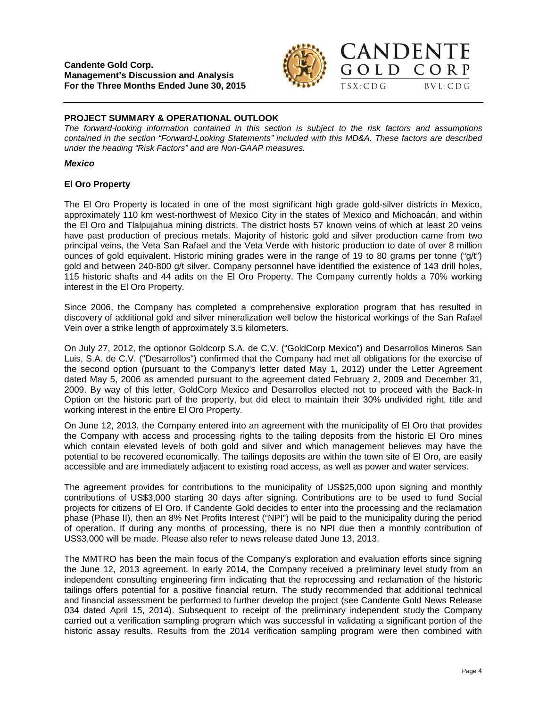

GOLD CORP

 $TSX:CDG$ 

 $BVL:CDG$ 

# **PROJECT SUMMARY & OPERATIONAL OUTLOOK**

*The forward-looking information contained in this section is subject to the risk factors and assumptions contained in the section "Forward-Looking Statements" included with this MD&A. These factors are described under the heading "Risk Factors" and are Non-GAAP measures.*

### *Mexico*

### **El Oro Property**

The El Oro Property is located in one of the most significant high grade gold-silver districts in Mexico, approximately 110 km west-northwest of Mexico City in the states of Mexico and Michoacán, and within the El Oro and Tlalpujahua mining districts. The district hosts 57 known veins of which at least 20 veins have past production of precious metals. Majority of historic gold and silver production came from two principal veins, the Veta San Rafael and the Veta Verde with historic production to date of over 8 million ounces of gold equivalent. Historic mining grades were in the range of 19 to 80 grams per tonne ("g/t") gold and between 240-800 g/t silver. Company personnel have identified the existence of 143 drill holes, 115 historic shafts and 44 adits on the El Oro Property. The Company currently holds a 70% working interest in the El Oro Property.

Since 2006, the Company has completed a comprehensive exploration program that has resulted in discovery of additional gold and silver mineralization well below the historical workings of the San Rafael Vein over a strike length of approximately 3.5 kilometers.

On July 27, 2012, the optionor Goldcorp S.A. de C.V. ("GoldCorp Mexico") and Desarrollos Mineros San Luis, S.A. de C.V. ("Desarrollos") confirmed that the Company had met all obligations for the exercise of the second option (pursuant to the Company's letter dated May 1, 2012) under the Letter Agreement dated May 5, 2006 as amended pursuant to the agreement dated February 2, 2009 and December 31, 2009. By way of this letter, GoldCorp Mexico and Desarrollos elected not to proceed with the Back-In Option on the historic part of the property, but did elect to maintain their 30% undivided right, title and working interest in the entire El Oro Property.

On June 12, 2013, the Company entered into an agreement with the municipality of El Oro that provides the Company with access and processing rights to the tailing deposits from the historic El Oro mines which contain elevated levels of both gold and silver and which management believes may have the potential to be recovered economically. The tailings deposits are within the town site of El Oro, are easily accessible and are immediately adjacent to existing road access, as well as power and water services.

The agreement provides for contributions to the municipality of US\$25,000 upon signing and monthly contributions of US\$3,000 starting 30 days after signing. Contributions are to be used to fund Social projects for citizens of El Oro. If Candente Gold decides to enter into the processing and the reclamation phase (Phase II), then an 8% Net Profits Interest ("NPI") will be paid to the municipality during the period of operation. If during any months of processing, there is no NPI due then a monthly contribution of US\$3,000 will be made. Please also refer to news release dated June 13, 2013.

The MMTRO has been the main focus of the Company's exploration and evaluation efforts since signing the June 12, 2013 agreement. In early 2014, the Company received a preliminary level study from an independent consulting engineering firm indicating that the reprocessing and reclamation of the historic tailings offers potential for a positive financial return. The study recommended that additional technical and financial assessment be performed to further develop the project (see Candente Gold News Release 034 dated April 15, 2014). Subsequent to receipt of the preliminary independent study the Company carried out a verification sampling program which was successful in validating a significant portion of the historic assay results. Results from the 2014 verification sampling program were then combined with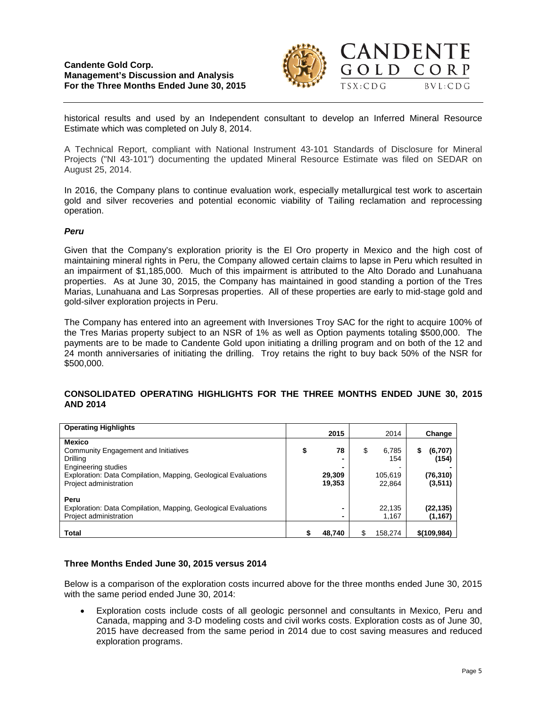# **Candente Gold Corp. Management's Discussion and Analysis For the Three Months Ended June 30, 2015**



historical results and used by an Independent consultant to develop an Inferred Mineral Resource Estimate which was completed on July 8, 2014.

A Technical Report, compliant with National Instrument 43-101 Standards of Disclosure for Mineral Projects ("NI 43-101") documenting the updated Mineral Resource Estimate was filed on SEDAR on August 25, 2014.

In 2016, the Company plans to continue evaluation work, especially metallurgical test work to ascertain gold and silver recoveries and potential economic viability of Tailing reclamation and reprocessing operation.

#### *Peru*

Given that the Company's exploration priority is the El Oro property in Mexico and the high cost of maintaining mineral rights in Peru, the Company allowed certain claims to lapse in Peru which resulted in an impairment of \$1,185,000. Much of this impairment is attributed to the Alto Dorado and Lunahuana properties. As at June 30, 2015, the Company has maintained in good standing a portion of the Tres Marias, Lunahuana and Las Sorpresas properties. All of these properties are early to mid-stage gold and gold-silver exploration projects in Peru.

The Company has entered into an agreement with Inversiones Troy SAC for the right to acquire 100% of the Tres Marias property subject to an NSR of 1% as well as Option payments totaling \$500,000. The payments are to be made to Candente Gold upon initiating a drilling program and on both of the 12 and 24 month anniversaries of initiating the drilling. Troy retains the right to buy back 50% of the NSR for \$500,000.

### **CONSOLIDATED OPERATING HIGHLIGHTS FOR THE THREE MONTHS ENDED JUNE 30, 2015 AND 2014**

| <b>Operating Highlights</b>                                                                                                                                                                 |    | 2015                   | 2014                                    |              | Change                                    |
|---------------------------------------------------------------------------------------------------------------------------------------------------------------------------------------------|----|------------------------|-----------------------------------------|--------------|-------------------------------------------|
| <b>Mexico</b><br>Community Engagement and Initiatives<br>Drilling<br><b>Engineering studies</b><br>Exploration: Data Compilation, Mapping, Geological Evaluations<br>Project administration | \$ | 78<br>29,309<br>19,353 | \$<br>6,785<br>154<br>105,619<br>22.864 | S            | (6,707)<br>(154)<br>(76, 310)<br>(3, 511) |
| Peru<br>Exploration: Data Compilation, Mapping, Geological Evaluations<br>Project administration<br><b>Total</b>                                                                            | S  | -<br>-<br>48,740       | 22,135<br>1.167<br>158.274              | \$(109, 984) | (22, 135)<br>(1, 167)                     |

#### **Three Months Ended June 30, 2015 versus 2014**

Below is a comparison of the exploration costs incurred above for the three months ended June 30, 2015 with the same period ended June 30, 2014:

• Exploration costs include costs of all geologic personnel and consultants in Mexico, Peru and Canada, mapping and 3-D modeling costs and civil works costs. Exploration costs as of June 30, 2015 have decreased from the same period in 2014 due to cost saving measures and reduced exploration programs.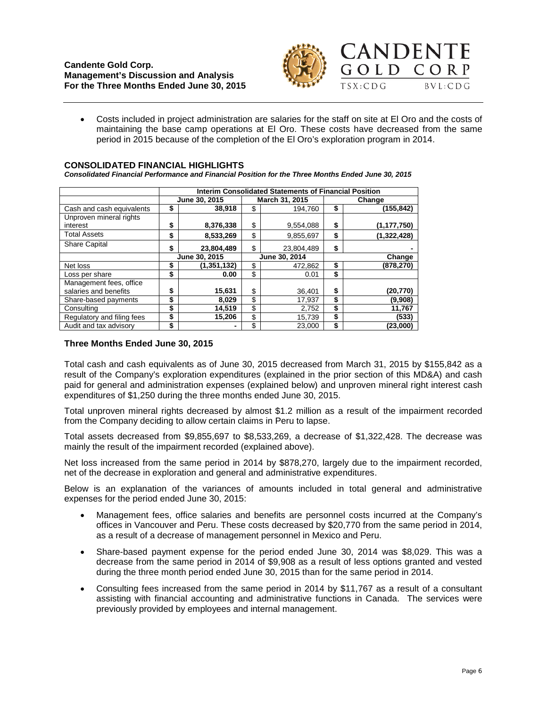

• Costs included in project administration are salaries for the staff on site at El Oro and the costs of maintaining the base camp operations at El Oro. These costs have decreased from the same period in 2015 because of the completion of the El Oro's exploration program in 2014.

#### **CONSOLIDATED FINANCIAL HIGHLIGHTS**

*Consolidated Financial Performance and Financial Position for the Three Months Ended June 30, 2015*

|                                                  | Interim Consolidated Statements of Financial Position |               |    |                |        |               |  |  |
|--------------------------------------------------|-------------------------------------------------------|---------------|----|----------------|--------|---------------|--|--|
|                                                  |                                                       | June 30, 2015 |    | March 31, 2015 |        | Change        |  |  |
| Cash and cash equivalents                        | \$                                                    | 38,918        | \$ | 194,760        | \$     | (155,842)     |  |  |
| Unproven mineral rights                          |                                                       |               |    |                |        |               |  |  |
| interest                                         | \$                                                    | 8,376,338     | \$ | 9,554,088      | \$     | (1, 177, 750) |  |  |
| <b>Total Assets</b>                              | \$                                                    | 8,533,269     | \$ | 9,855,697      | \$     | (1,322,428)   |  |  |
| <b>Share Capital</b>                             | \$                                                    | 23,804,489    | \$ | 23,804,489     | \$     |               |  |  |
|                                                  | June 30, 2015                                         |               |    | June 30, 2014  | Change |               |  |  |
| Net loss                                         | S                                                     | (1, 351, 132) | \$ | 472.862        | \$     | (878,270)     |  |  |
| Loss per share                                   | \$                                                    | 0.00          | \$ | 0.01           | \$     |               |  |  |
| Management fees, office<br>salaries and benefits | \$                                                    | 15,631        | \$ | 36,401         | \$     | (20,770)      |  |  |
| Share-based payments                             | \$                                                    | 8,029         | \$ | 17,937         | \$     | (9,908)       |  |  |
| Consulting                                       | \$                                                    | 14,519        | \$ | 2,752          | \$     | 11,767        |  |  |
| Regulatory and filing fees                       | \$                                                    | 15,206        | \$ | 15,739         | \$     | (533)         |  |  |
| Audit and tax advisory                           | \$                                                    |               | \$ | 23,000         | \$     | (23,000)      |  |  |

# **Three Months Ended June 30, 2015**

Total cash and cash equivalents as of June 30, 2015 decreased from March 31, 2015 by \$155,842 as a result of the Company's exploration expenditures (explained in the prior section of this MD&A) and cash paid for general and administration expenses (explained below) and unproven mineral right interest cash expenditures of \$1,250 during the three months ended June 30, 2015.

Total unproven mineral rights decreased by almost \$1.2 million as a result of the impairment recorded from the Company deciding to allow certain claims in Peru to lapse.

Total assets decreased from \$9,855,697 to \$8,533,269, a decrease of \$1,322,428. The decrease was mainly the result of the impairment recorded (explained above).

Net loss increased from the same period in 2014 by \$878,270, largely due to the impairment recorded, net of the decrease in exploration and general and administrative expenditures.

Below is an explanation of the variances of amounts included in total general and administrative expenses for the period ended June 30, 2015:

- Management fees, office salaries and benefits are personnel costs incurred at the Company's offices in Vancouver and Peru. These costs decreased by \$20,770 from the same period in 2014, as a result of a decrease of management personnel in Mexico and Peru.
- Share-based payment expense for the period ended June 30, 2014 was \$8,029. This was a decrease from the same period in 2014 of \$9,908 as a result of less options granted and vested during the three month period ended June 30, 2015 than for the same period in 2014.
- Consulting fees increased from the same period in 2014 by \$11,767 as a result of a consultant assisting with financial accounting and administrative functions in Canada. The services were previously provided by employees and internal management.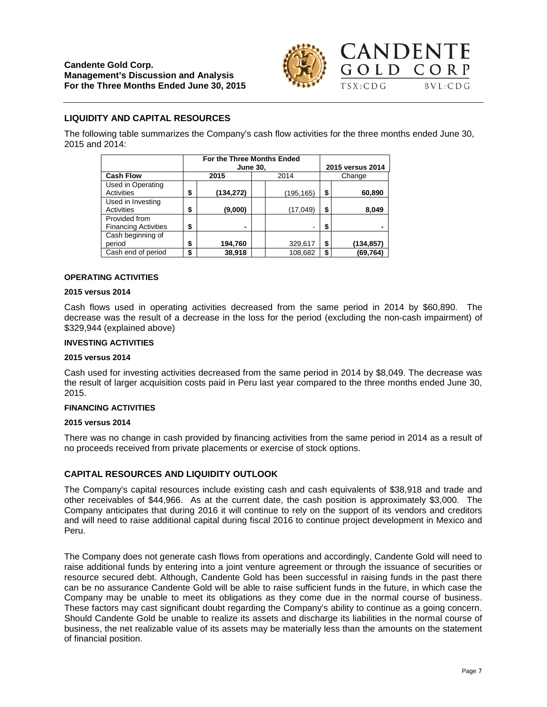

# **LIQUIDITY AND CAPITAL RESOURCES**

The following table summarizes the Company's cash flow activities for the three months ended June 30, 2015 and 2014:

|                                              |              | For the Three Months Ended<br><b>June 30,</b> |  | 2015 versus 2014 |        |           |  |
|----------------------------------------------|--------------|-----------------------------------------------|--|------------------|--------|-----------|--|
| <b>Cash Flow</b>                             |              | 2015<br>2014                                  |  |                  | Change |           |  |
| Used in Operating<br><b>Activities</b>       | \$           | (134,272)                                     |  | (195,165)        | \$     | 60,890    |  |
| Used in Investing<br>Activities              | \$           | (9,000)                                       |  | (17, 049)        | \$     | 8,049     |  |
| Provided from<br><b>Financing Activities</b> | \$           |                                               |  |                  | \$     |           |  |
| Cash beginning of<br>period                  | \$           | 194,760                                       |  | 329,617          | \$     | (134,857) |  |
| Cash end of period                           | 38,918<br>\$ |                                               |  | 108,682          | \$     | (69,764)  |  |

#### **OPERATING ACTIVITIES**

#### **2015 versus 2014**

Cash flows used in operating activities decreased from the same period in 2014 by \$60,890. The decrease was the result of a decrease in the loss for the period (excluding the non-cash impairment) of \$329,944 (explained above)

#### **INVESTING ACTIVITIES**

#### **2015 versus 2014**

Cash used for investing activities decreased from the same period in 2014 by \$8,049. The decrease was the result of larger acquisition costs paid in Peru last year compared to the three months ended June 30, 2015.

#### **FINANCING ACTIVITIES**

### **2015 versus 2014**

There was no change in cash provided by financing activities from the same period in 2014 as a result of no proceeds received from private placements or exercise of stock options.

### **CAPITAL RESOURCES AND LIQUIDITY OUTLOOK**

The Company's capital resources include existing cash and cash equivalents of \$38,918 and trade and other receivables of \$44,966. As at the current date, the cash position is approximately \$3,000. The Company anticipates that during 2016 it will continue to rely on the support of its vendors and creditors and will need to raise additional capital during fiscal 2016 to continue project development in Mexico and Peru.

The Company does not generate cash flows from operations and accordingly, Candente Gold will need to raise additional funds by entering into a joint venture agreement or through the issuance of securities or resource secured debt. Although, Candente Gold has been successful in raising funds in the past there can be no assurance Candente Gold will be able to raise sufficient funds in the future, in which case the Company may be unable to meet its obligations as they come due in the normal course of business. These factors may cast significant doubt regarding the Company's ability to continue as a going concern. Should Candente Gold be unable to realize its assets and discharge its liabilities in the normal course of business, the net realizable value of its assets may be materially less than the amounts on the statement of financial position.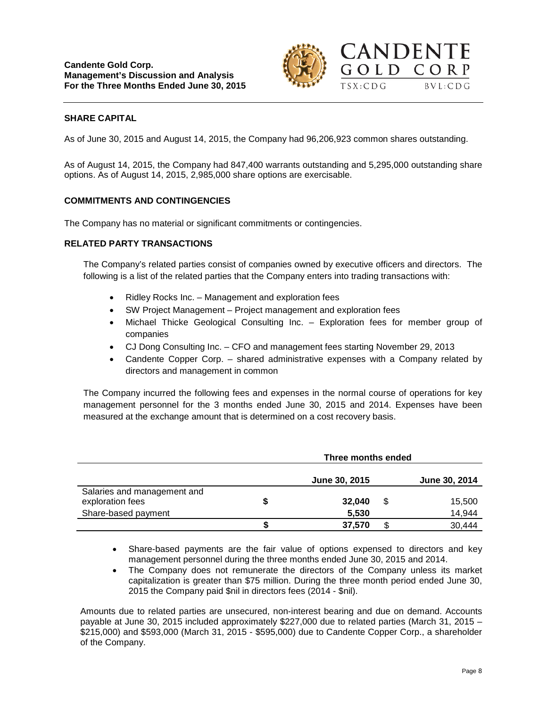

# **SHARE CAPITAL**

As of June 30, 2015 and August 14, 2015, the Company had 96,206,923 common shares outstanding.

As of August 14, 2015, the Company had 847,400 warrants outstanding and 5,295,000 outstanding share options. As of August 14, 2015, 2,985,000 share options are exercisable.

### **COMMITMENTS AND CONTINGENCIES**

The Company has no material or significant commitments or contingencies.

#### **RELATED PARTY TRANSACTIONS**

The Company's related parties consist of companies owned by executive officers and directors. The following is a list of the related parties that the Company enters into trading transactions with:

- Ridley Rocks Inc. Management and exploration fees
- SW Project Management Project management and exploration fees
- Michael Thicke Geological Consulting Inc. Exploration fees for member group of companies
- CJ Dong Consulting Inc. CFO and management fees starting November 29, 2013
- Candente Copper Corp. shared administrative expenses with a Company related by directors and management in common

The Company incurred the following fees and expenses in the normal course of operations for key management personnel for the 3 months ended June 30, 2015 and 2014. Expenses have been measured at the exchange amount that is determined on a cost recovery basis.

|                                                                        |   | Three months ended   |    |                  |  |  |
|------------------------------------------------------------------------|---|----------------------|----|------------------|--|--|
|                                                                        |   | <b>June 30, 2015</b> |    | June 30, 2014    |  |  |
| Salaries and management and<br>exploration fees<br>Share-based payment | S | 32,040<br>5,530      | \$ | 15,500<br>14,944 |  |  |
|                                                                        |   | 37.570               |    | 30,444           |  |  |

- Share-based payments are the fair value of options expensed to directors and key management personnel during the three months ended June 30, 2015 and 2014.
- The Company does not remunerate the directors of the Company unless its market capitalization is greater than \$75 million. During the three month period ended June 30, 2015 the Company paid \$nil in directors fees (2014 - \$nil).

Amounts due to related parties are unsecured, non-interest bearing and due on demand. Accounts payable at June 30, 2015 included approximately \$227,000 due to related parties (March 31, 2015 – \$215,000) and \$593,000 (March 31, 2015 - \$595,000) due to Candente Copper Corp., a shareholder of the Company.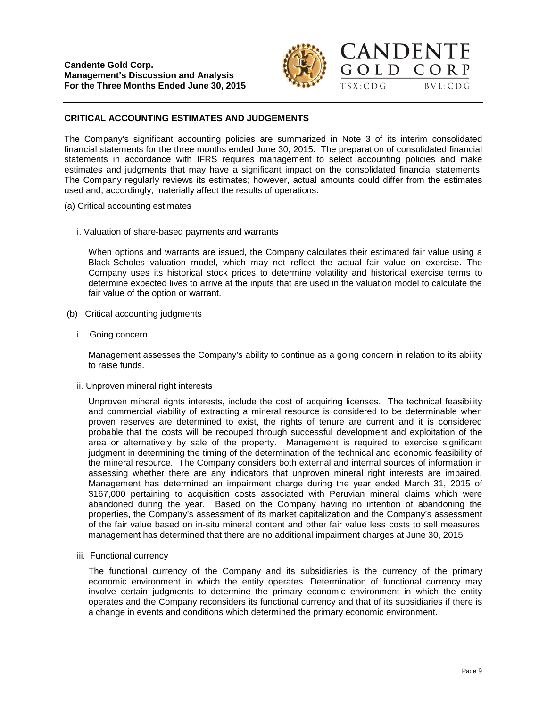

GOLD CORP

 $BVL:CDG$ 

 $TSX:CDG$ 

# **CRITICAL ACCOUNTING ESTIMATES AND JUDGEMENTS**

The Company's significant accounting policies are summarized in Note 3 of its interim consolidated financial statements for the three months ended June 30, 2015. The preparation of consolidated financial statements in accordance with IFRS requires management to select accounting policies and make estimates and judgments that may have a significant impact on the consolidated financial statements. The Company regularly reviews its estimates; however, actual amounts could differ from the estimates used and, accordingly, materially affect the results of operations.

- (a) Critical accounting estimates
	- i. Valuation of share-based payments and warrants

When options and warrants are issued, the Company calculates their estimated fair value using a Black-Scholes valuation model, which may not reflect the actual fair value on exercise. The Company uses its historical stock prices to determine volatility and historical exercise terms to determine expected lives to arrive at the inputs that are used in the valuation model to calculate the fair value of the option or warrant.

- (b) Critical accounting judgments
	- i. Going concern

Management assesses the Company's ability to continue as a going concern in relation to its ability to raise funds.

ii. Unproven mineral right interests

Unproven mineral rights interests, include the cost of acquiring licenses. The technical feasibility and commercial viability of extracting a mineral resource is considered to be determinable when proven reserves are determined to exist, the rights of tenure are current and it is considered probable that the costs will be recouped through successful development and exploitation of the area or alternatively by sale of the property. Management is required to exercise significant judgment in determining the timing of the determination of the technical and economic feasibility of the mineral resource. The Company considers both external and internal sources of information in assessing whether there are any indicators that unproven mineral right interests are impaired. Management has determined an impairment charge during the year ended March 31, 2015 of \$167,000 pertaining to acquisition costs associated with Peruvian mineral claims which were abandoned during the year. Based on the Company having no intention of abandoning the properties, the Company's assessment of its market capitalization and the Company's assessment of the fair value based on in-situ mineral content and other fair value less costs to sell measures, management has determined that there are no additional impairment charges at June 30, 2015.

iii. Functional currency

The functional currency of the Company and its subsidiaries is the currency of the primary economic environment in which the entity operates. Determination of functional currency may involve certain judgments to determine the primary economic environment in which the entity operates and the Company reconsiders its functional currency and that of its subsidiaries if there is a change in events and conditions which determined the primary economic environment.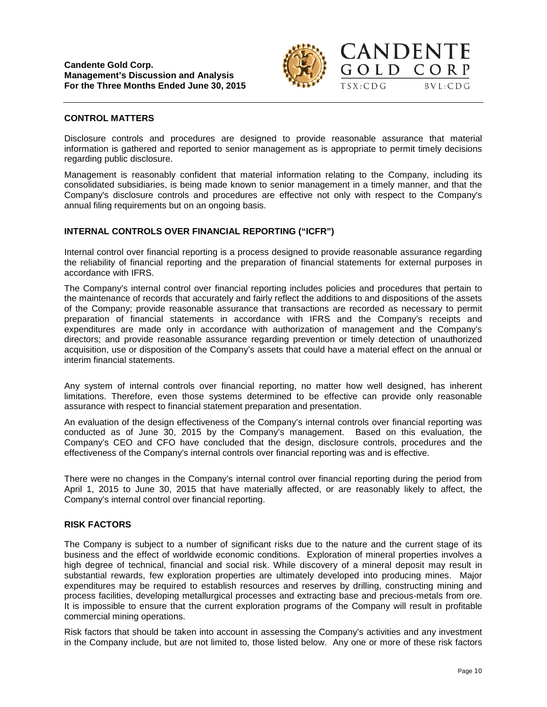

GOLD CORP

 $TSX:CDG$ 

 $BVL:CDG$ 

### **CONTROL MATTERS**

Disclosure controls and procedures are designed to provide reasonable assurance that material information is gathered and reported to senior management as is appropriate to permit timely decisions regarding public disclosure.

Management is reasonably confident that material information relating to the Company, including its consolidated subsidiaries, is being made known to senior management in a timely manner, and that the Company's disclosure controls and procedures are effective not only with respect to the Company's annual filing requirements but on an ongoing basis.

# **INTERNAL CONTROLS OVER FINANCIAL REPORTING ("ICFR")**

Internal control over financial reporting is a process designed to provide reasonable assurance regarding the reliability of financial reporting and the preparation of financial statements for external purposes in accordance with IFRS.

The Company's internal control over financial reporting includes policies and procedures that pertain to the maintenance of records that accurately and fairly reflect the additions to and dispositions of the assets of the Company; provide reasonable assurance that transactions are recorded as necessary to permit preparation of financial statements in accordance with IFRS and the Company's receipts and expenditures are made only in accordance with authorization of management and the Company's directors; and provide reasonable assurance regarding prevention or timely detection of unauthorized acquisition, use or disposition of the Company's assets that could have a material effect on the annual or interim financial statements.

Any system of internal controls over financial reporting, no matter how well designed, has inherent limitations. Therefore, even those systems determined to be effective can provide only reasonable assurance with respect to financial statement preparation and presentation.

An evaluation of the design effectiveness of the Company's internal controls over financial reporting was conducted as of June 30, 2015 by the Company's management. Based on this evaluation, the Company's CEO and CFO have concluded that the design, disclosure controls, procedures and the effectiveness of the Company's internal controls over financial reporting was and is effective.

There were no changes in the Company's internal control over financial reporting during the period from April 1, 2015 to June 30, 2015 that have materially affected, or are reasonably likely to affect, the Company's internal control over financial reporting.

### **RISK FACTORS**

The Company is subject to a number of significant risks due to the nature and the current stage of its business and the effect of worldwide economic conditions. Exploration of mineral properties involves a high degree of technical, financial and social risk. While discovery of a mineral deposit may result in substantial rewards, few exploration properties are ultimately developed into producing mines. Major expenditures may be required to establish resources and reserves by drilling, constructing mining and process facilities, developing metallurgical processes and extracting base and precious-metals from ore. It is impossible to ensure that the current exploration programs of the Company will result in profitable commercial mining operations.

Risk factors that should be taken into account in assessing the Company's activities and any investment in the Company include, but are not limited to, those listed below. Any one or more of these risk factors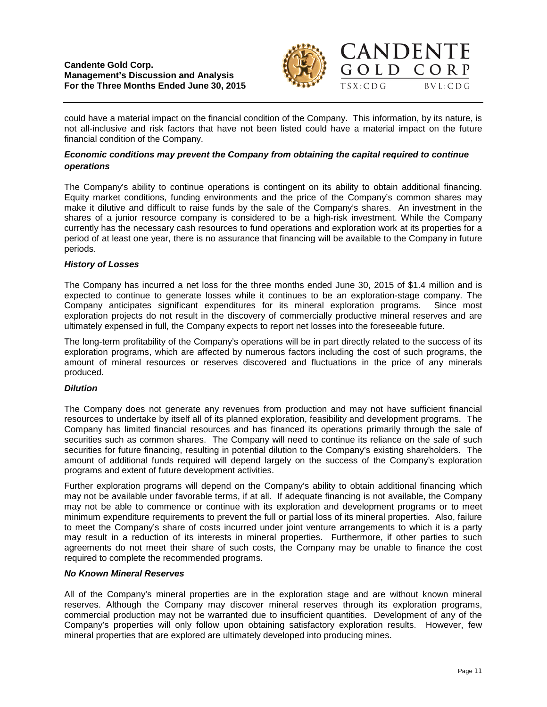

could have a material impact on the financial condition of the Company. This information, by its nature, is not all-inclusive and risk factors that have not been listed could have a material impact on the future financial condition of the Company.

# *Economic conditions may prevent the Company from obtaining the capital required to continue operations*

The Company's ability to continue operations is contingent on its ability to obtain additional financing. Equity market conditions, funding environments and the price of the Company's common shares may make it dilutive and difficult to raise funds by the sale of the Company's shares. An investment in the shares of a junior resource company is considered to be a high-risk investment. While the Company currently has the necessary cash resources to fund operations and exploration work at its properties for a period of at least one year, there is no assurance that financing will be available to the Company in future periods.

# *History of Losses*

The Company has incurred a net loss for the three months ended June 30, 2015 of \$1.4 million and is expected to continue to generate losses while it continues to be an exploration-stage company. The Company anticipates significant expenditures for its mineral exploration programs. Since most exploration projects do not result in the discovery of commercially productive mineral reserves and are ultimately expensed in full, the Company expects to report net losses into the foreseeable future.

The long-term profitability of the Company's operations will be in part directly related to the success of its exploration programs, which are affected by numerous factors including the cost of such programs, the amount of mineral resources or reserves discovered and fluctuations in the price of any minerals produced.

### *Dilution*

The Company does not generate any revenues from production and may not have sufficient financial resources to undertake by itself all of its planned exploration, feasibility and development programs. The Company has limited financial resources and has financed its operations primarily through the sale of securities such as common shares. The Company will need to continue its reliance on the sale of such securities for future financing, resulting in potential dilution to the Company's existing shareholders. The amount of additional funds required will depend largely on the success of the Company's exploration programs and extent of future development activities.

Further exploration programs will depend on the Company's ability to obtain additional financing which may not be available under favorable terms, if at all. If adequate financing is not available, the Company may not be able to commence or continue with its exploration and development programs or to meet minimum expenditure requirements to prevent the full or partial loss of its mineral properties. Also, failure to meet the Company's share of costs incurred under joint venture arrangements to which it is a party may result in a reduction of its interests in mineral properties. Furthermore, if other parties to such agreements do not meet their share of such costs, the Company may be unable to finance the cost required to complete the recommended programs.

### *No Known Mineral Reserves*

All of the Company's mineral properties are in the exploration stage and are without known mineral reserves. Although the Company may discover mineral reserves through its exploration programs, commercial production may not be warranted due to insufficient quantities. Development of any of the Company's properties will only follow upon obtaining satisfactory exploration results. However, few mineral properties that are explored are ultimately developed into producing mines.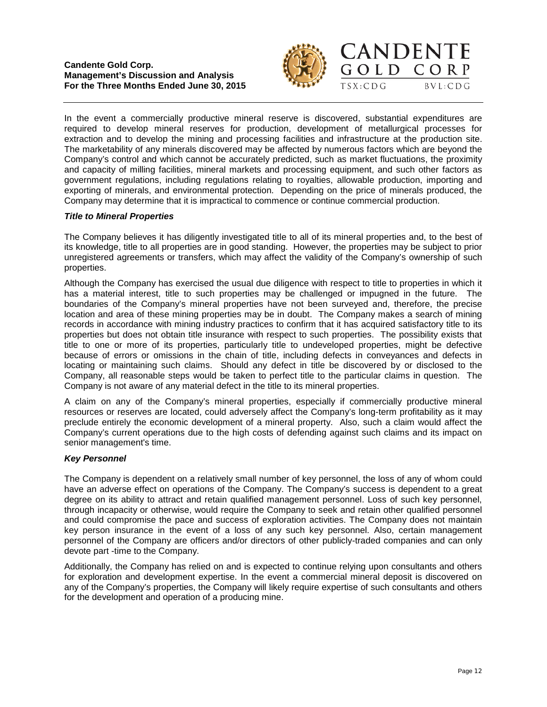



In the event a commercially productive mineral reserve is discovered, substantial expenditures are required to develop mineral reserves for production, development of metallurgical processes for extraction and to develop the mining and processing facilities and infrastructure at the production site. The marketability of any minerals discovered may be affected by numerous factors which are beyond the Company's control and which cannot be accurately predicted, such as market fluctuations, the proximity and capacity of milling facilities, mineral markets and processing equipment, and such other factors as government regulations, including regulations relating to royalties, allowable production, importing and exporting of minerals, and environmental protection. Depending on the price of minerals produced, the Company may determine that it is impractical to commence or continue commercial production.

# *Title to Mineral Properties*

The Company believes it has diligently investigated title to all of its mineral properties and, to the best of its knowledge, title to all properties are in good standing. However, the properties may be subject to prior unregistered agreements or transfers, which may affect the validity of the Company's ownership of such properties.

Although the Company has exercised the usual due diligence with respect to title to properties in which it has a material interest, title to such properties may be challenged or impugned in the future. The boundaries of the Company's mineral properties have not been surveyed and, therefore, the precise location and area of these mining properties may be in doubt. The Company makes a search of mining records in accordance with mining industry practices to confirm that it has acquired satisfactory title to its properties but does not obtain title insurance with respect to such properties. The possibility exists that title to one or more of its properties, particularly title to undeveloped properties, might be defective because of errors or omissions in the chain of title, including defects in conveyances and defects in locating or maintaining such claims. Should any defect in title be discovered by or disclosed to the Company, all reasonable steps would be taken to perfect title to the particular claims in question. The Company is not aware of any material defect in the title to its mineral properties.

A claim on any of the Company's mineral properties, especially if commercially productive mineral resources or reserves are located, could adversely affect the Company's long-term profitability as it may preclude entirely the economic development of a mineral property. Also, such a claim would affect the Company's current operations due to the high costs of defending against such claims and its impact on senior management's time.

### *Key Personnel*

The Company is dependent on a relatively small number of key personnel, the loss of any of whom could have an adverse effect on operations of the Company. The Company's success is dependent to a great degree on its ability to attract and retain qualified management personnel. Loss of such key personnel, through incapacity or otherwise, would require the Company to seek and retain other qualified personnel and could compromise the pace and success of exploration activities. The Company does not maintain key person insurance in the event of a loss of any such key personnel. Also, certain management personnel of the Company are officers and/or directors of other publicly-traded companies and can only devote part -time to the Company.

Additionally, the Company has relied on and is expected to continue relying upon consultants and others for exploration and development expertise. In the event a commercial mineral deposit is discovered on any of the Company's properties, the Company will likely require expertise of such consultants and others for the development and operation of a producing mine.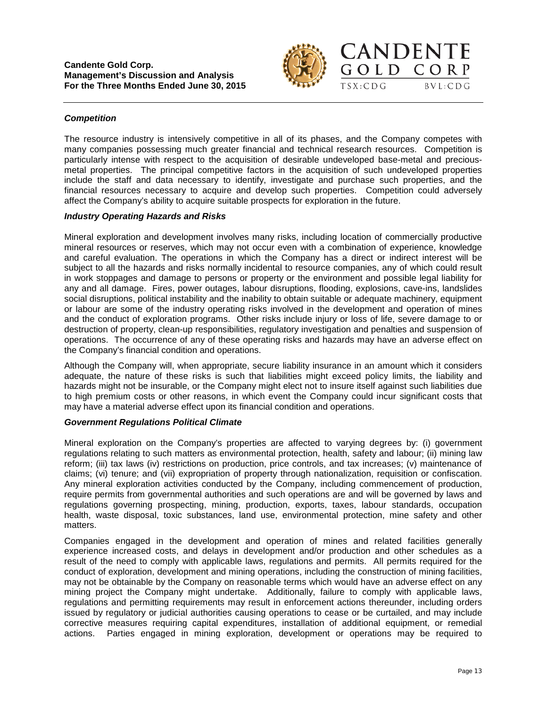

GOLD CORP

 $TSX:CDG$ 

 $BVL:CDG$ 

### *Competition*

The resource industry is intensively competitive in all of its phases, and the Company competes with many companies possessing much greater financial and technical research resources. Competition is particularly intense with respect to the acquisition of desirable undeveloped base-metal and preciousmetal properties. The principal competitive factors in the acquisition of such undeveloped properties include the staff and data necessary to identify, investigate and purchase such properties, and the financial resources necessary to acquire and develop such properties. Competition could adversely affect the Company's ability to acquire suitable prospects for exploration in the future.

#### *Industry Operating Hazards and Risks*

Mineral exploration and development involves many risks, including location of commercially productive mineral resources or reserves, which may not occur even with a combination of experience, knowledge and careful evaluation. The operations in which the Company has a direct or indirect interest will be subject to all the hazards and risks normally incidental to resource companies, any of which could result in work stoppages and damage to persons or property or the environment and possible legal liability for any and all damage. Fires, power outages, labour disruptions, flooding, explosions, cave-ins, landslides social disruptions, political instability and the inability to obtain suitable or adequate machinery, equipment or labour are some of the industry operating risks involved in the development and operation of mines and the conduct of exploration programs. Other risks include injury or loss of life, severe damage to or destruction of property, clean-up responsibilities, regulatory investigation and penalties and suspension of operations. The occurrence of any of these operating risks and hazards may have an adverse effect on the Company's financial condition and operations.

Although the Company will, when appropriate, secure liability insurance in an amount which it considers adequate, the nature of these risks is such that liabilities might exceed policy limits, the liability and hazards might not be insurable, or the Company might elect not to insure itself against such liabilities due to high premium costs or other reasons, in which event the Company could incur significant costs that may have a material adverse effect upon its financial condition and operations.

### *Government Regulations Political Climate*

Mineral exploration on the Company's properties are affected to varying degrees by: (i) government regulations relating to such matters as environmental protection, health, safety and labour; (ii) mining law reform; (iii) tax laws (iv) restrictions on production, price controls, and tax increases; (v) maintenance of claims; (vi) tenure; and (vii) expropriation of property through nationalization, requisition or confiscation. Any mineral exploration activities conducted by the Company, including commencement of production, require permits from governmental authorities and such operations are and will be governed by laws and regulations governing prospecting, mining, production, exports, taxes, labour standards, occupation health, waste disposal, toxic substances, land use, environmental protection, mine safety and other matters.

Companies engaged in the development and operation of mines and related facilities generally experience increased costs, and delays in development and/or production and other schedules as a result of the need to comply with applicable laws, regulations and permits. All permits required for the conduct of exploration, development and mining operations, including the construction of mining facilities, may not be obtainable by the Company on reasonable terms which would have an adverse effect on any mining project the Company might undertake. Additionally, failure to comply with applicable laws, regulations and permitting requirements may result in enforcement actions thereunder, including orders issued by regulatory or judicial authorities causing operations to cease or be curtailed, and may include corrective measures requiring capital expenditures, installation of additional equipment, or remedial actions. Parties engaged in mining exploration, development or operations may be required to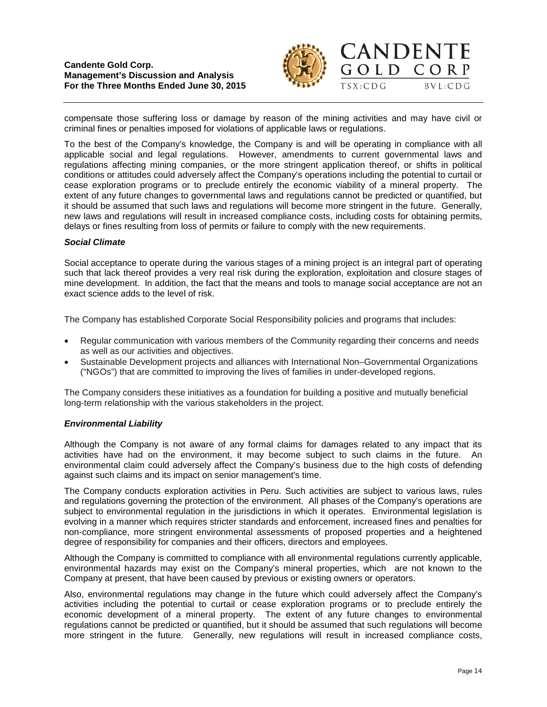



compensate those suffering loss or damage by reason of the mining activities and may have civil or criminal fines or penalties imposed for violations of applicable laws or regulations.

To the best of the Company's knowledge, the Company is and will be operating in compliance with all applicable social and legal regulations. However, amendments to current governmental laws and regulations affecting mining companies, or the more stringent application thereof, or shifts in political conditions or attitudes could adversely affect the Company's operations including the potential to curtail or cease exploration programs or to preclude entirely the economic viability of a mineral property. The extent of any future changes to governmental laws and regulations cannot be predicted or quantified, but it should be assumed that such laws and regulations will become more stringent in the future. Generally, new laws and regulations will result in increased compliance costs, including costs for obtaining permits, delays or fines resulting from loss of permits or failure to comply with the new requirements.

### *Social Climate*

Social acceptance to operate during the various stages of a mining project is an integral part of operating such that lack thereof provides a very real risk during the exploration, exploitation and closure stages of mine development. In addition, the fact that the means and tools to manage social acceptance are not an exact science adds to the level of risk.

The Company has established Corporate Social Responsibility policies and programs that includes:

- Regular communication with various members of the Community regarding their concerns and needs as well as our activities and objectives.
- Sustainable Development projects and alliances with International Non–Governmental Organizations ("NGOs") that are committed to improving the lives of families in under-developed regions.

The Company considers these initiatives as a foundation for building a positive and mutually beneficial long-term relationship with the various stakeholders in the project.

### *Environmental Liability*

Although the Company is not aware of any formal claims for damages related to any impact that its activities have had on the environment, it may become subject to such claims in the future. An environmental claim could adversely affect the Company's business due to the high costs of defending against such claims and its impact on senior management's time.

The Company conducts exploration activities in Peru. Such activities are subject to various laws, rules and regulations governing the protection of the environment. All phases of the Company's operations are subject to environmental regulation in the jurisdictions in which it operates. Environmental legislation is evolving in a manner which requires stricter standards and enforcement, increased fines and penalties for non-compliance, more stringent environmental assessments of proposed properties and a heightened degree of responsibility for companies and their officers, directors and employees.

Although the Company is committed to compliance with all environmental regulations currently applicable, environmental hazards may exist on the Company's mineral properties, which are not known to the Company at present, that have been caused by previous or existing owners or operators.

Also, environmental regulations may change in the future which could adversely affect the Company's activities including the potential to curtail or cease exploration programs or to preclude entirely the economic development of a mineral property. The extent of any future changes to environmental regulations cannot be predicted or quantified, but it should be assumed that such regulations will become more stringent in the future. Generally, new regulations will result in increased compliance costs,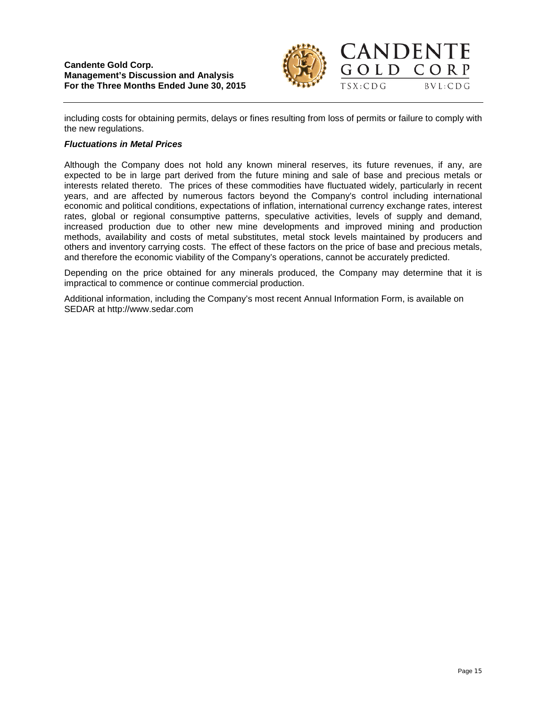

CORP

 $BVL:CDG$ 

including costs for obtaining permits, delays or fines resulting from loss of permits or failure to comply with the new regulations.

### *Fluctuations in Metal Prices*

Although the Company does not hold any known mineral reserves, its future revenues, if any, are expected to be in large part derived from the future mining and sale of base and precious metals or interests related thereto. The prices of these commodities have fluctuated widely, particularly in recent years, and are affected by numerous factors beyond the Company's control including international economic and political conditions, expectations of inflation, international currency exchange rates, interest rates, global or regional consumptive patterns, speculative activities, levels of supply and demand, increased production due to other new mine developments and improved mining and production methods, availability and costs of metal substitutes, metal stock levels maintained by producers and others and inventory carrying costs. The effect of these factors on the price of base and precious metals, and therefore the economic viability of the Company's operations, cannot be accurately predicted.

Depending on the price obtained for any minerals produced, the Company may determine that it is impractical to commence or continue commercial production.

Additional information, including the Company's most recent Annual Information Form, is available on SEDAR at [http://www.sedar.com](http://www.sedar.com/)